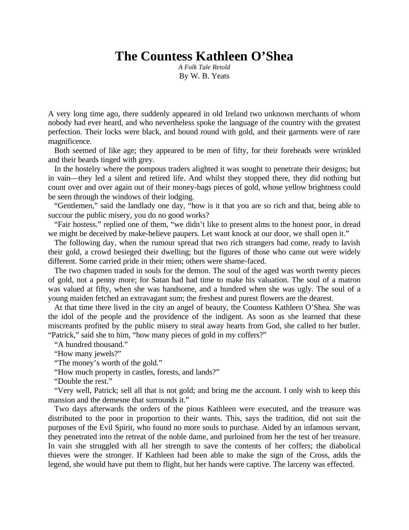## **The Countess Kathleen O'Shea**

*A Folk Tale Retold* By W. B. Yeats

A very long time ago, there suddenly appeared in old Ireland two unknown merchants of whom nobody had ever heard, and who nevertheless spoke the language of the country with the greatest perfection. Their locks were black, and bound round with gold, and their garments were of rare magnificence.

Both seemed of like age; they appeared to be men of fifty, for their foreheads were wrinkled and their beards tinged with grey.

In the hostelry where the pompous traders alighted it was sought to penetrate their designs; but in vain—they led a silent and retired life. And whilst they stopped there, they did nothing but count over and over again out of their money-bags pieces of gold, whose yellow brightness could be seen through the windows of their lodging.

"Gentlemen," said the landlady one day, "how is it that you are so rich and that, being able to succour the public misery, you do no good works?

"Fair hostess." replied one of them, "we didn't like to present alms to the honest poor, in dread we might be deceived by make-believe paupers. Let want knock at our door, we shall open it."

The following day, when the rumour spread that two rich strangers had come, ready to lavish their gold, a crowd besieged their dwelling; but the figures of those who came out were widely different. Some carried pride in their mien; others were shame-faced.

The two chapmen traded in souls for the demon. The soul of the aged was worth twenty pieces of gold, not a penny more; for Satan had had time to make his valuation. The soul of a matron was valued at fifty, when she was handsome, and a hundred when she was ugly. The soul of a young maiden fetched an extravagant sum; the freshest and purest flowers are the dearest.

At that time there lived in the city an angel of beauty, the Countess Kathleen O'Shea. She was the idol of the people and the providence of the indigent. As soon as she learned that these miscreants profited by the public misery to steal away hearts from God, she called to her butler. "Patrick," said she to him, "how many pieces of gold in my coffers?"

"A hundred thousand."

"How many jewels?"

"The money's worth of the gold."

"How much property in castles, forests, and lands?"

"Double the rest."

"Very well, Patrick; sell all that is not gold; and bring me the account. I only wish to keep this mansion and the demesne that surrounds it."

Two days afterwards the orders of the pious Kathleen were executed, and the treasure was distributed to the poor in proportion to their wants. This, says the tradition, did not suit the purposes of the Evil Spirit, who found no more souls to purchase. Aided by an infamous servant, they penetrated into the retreat of the noble dame, and purloined from her the test of her treasure. In vain she struggled with all her strength to save the contents of her coffers; the diabolical thieves were the stronger. If Kathleen had been able to make the sign of the Cross, adds the legend, she would have put them to flight, but her hands were captive. The larceny was effected.